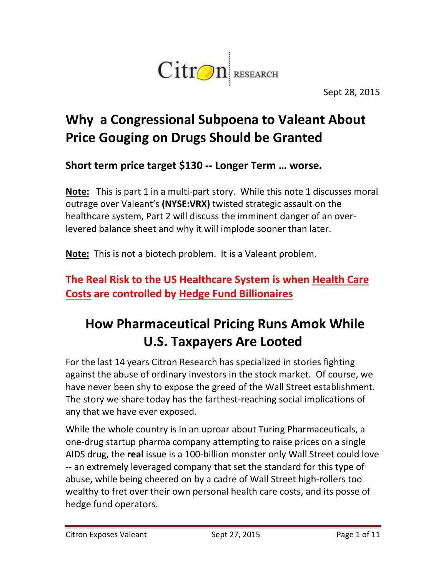

Sept 28, 2015

## **Why a Congressional Subpoena to Valeant About Price Gouging on Drugs Should be Granted**

**Short term price target \$130 -- Longer Term … worse***.*

**Note:** This is part 1 in a multi-part story. While this note 1 discusses moral outrage over Valeant's **(NYSE:VRX)** twisted strategic assault on the healthcare system, Part 2 will discuss the imminent danger of an overlevered balance sheet and why it will implode sooner than later.

**Note:** This is not a biotech problem. It is a Valeant problem.

#### **The Real Risk to the US Healthcare System is when Health Care Costs are controlled by Hedge Fund Billionaires**

## **How Pharmaceutical Pricing Runs Amok While U.S. Taxpayers Are Looted**

For the last 14 years Citron Research has specialized in stories fighting against the abuse of ordinary investors in the stock market. Of course, we have never been shy to expose the greed of the Wall Street establishment. The story we share today has the farthest-reaching social implications of any that we have ever exposed.

While the whole country is in an uproar about Turing Pharmaceuticals, a one-drug startup pharma company attempting to raise prices on a single AIDS drug, the **real** issue is a 100-billion monster only Wall Street could love -- an extremely leveraged company that set the standard for this type of abuse, while being cheered on by a cadre of Wall Street high-rollers too wealthy to fret over their own personal health care costs, and its posse of hedge fund operators.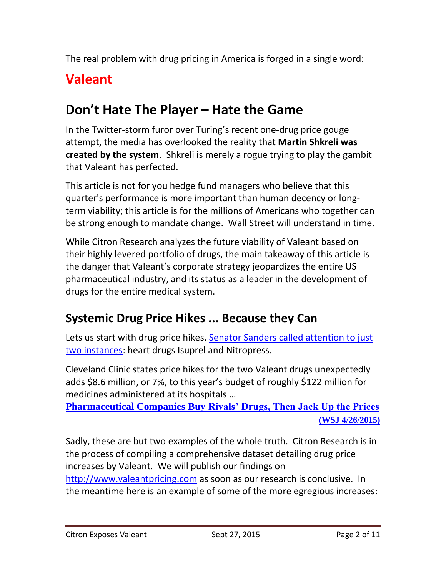The real problem with drug pricing in America is forged in a single word:

## **Valeant**

## **Don't Hate The Player – Hate the Game**

In the Twitter-storm furor over Turing's recent one-drug price gouge attempt, the media has overlooked the reality that **Martin Shkreli was created by the system**. Shkreli is merely a rogue trying to play the gambit that Valeant has perfected.

This article is not for you hedge fund managers who believe that this quarter's performance is more important than human decency or longterm viability; this article is for the millions of Americans who together can be strong enough to mandate change. Wall Street will understand in time.

While Citron Research analyzes the future viability of Valeant based on their highly levered portfolio of drugs, the main takeaway of this article is the danger that Valeant's corporate strategy jeopardizes the entire US pharmaceutical industry, and its status as a leader in the development of drugs for the entire medical system.

### **Systemic Drug Price Hikes ... Because they Can**

Lets us start with drug price hikes. Senator Sanders called attention to just [two instances:](http://www.wsj.com/articles/bernie-sanders-elijah-cummings-question-valeant-on-heart-drug-price-increases-1439574723) heart drugs Isuprel and Nitropress.

Cleveland Clinic states price hikes for the two Valeant drugs unexpectedly adds \$8.6 million, or 7%, to this year's budget of roughly \$122 million for medicines administered at its hospitals …

**[Pharmaceutical Companies Buy Rivals' Drugs, Then Jack Up the Prices](http://www.wsj.com/articles/pharmaceutical-companies-buy-rivals-drugs-then-jack-up-the-prices-1430096431)  [\(WSJ 4/26/2015\)](http://www.wsj.com/articles/pharmaceutical-companies-buy-rivals-drugs-then-jack-up-the-prices-1430096431)**

Sadly, these are but two examples of the whole truth. Citron Research is in the process of compiling a comprehensive dataset detailing drug price increases by Valeant. We will publish our findings on [http://www.valeantpricing.com](http://www.valeantpricing.com/) as soon as our research is conclusive. In the meantime here is an example of some of the more egregious increases: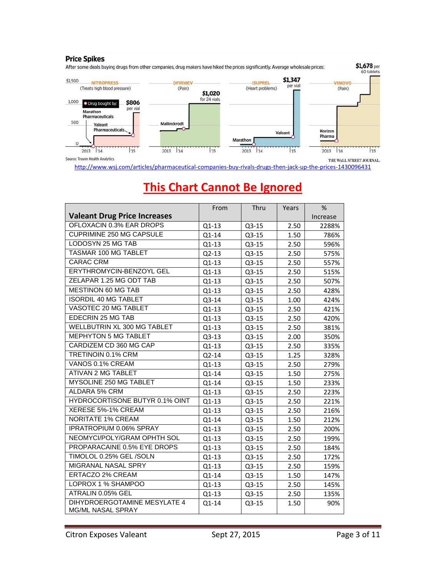

<http://www.wsj.com/articles/pharmaceutical-companies-buy-rivals-drugs-then-jack-up-the-prices-1430096431>

|                                                   | From    | Thru    | Years | $\%$     |
|---------------------------------------------------|---------|---------|-------|----------|
| <b>Valeant Drug Price Increases</b>               |         |         |       | Increase |
| OFLOXACIN 0.3% EAR DROPS                          | Q1-13   | $Q3-15$ | 2.50  | 2288%    |
| <b>CUPRIMINE 250 MG CAPSULE</b>                   | Q1-14   | Q3-15   | 1.50  | 786%     |
| LODOSYN 25 MG TAB                                 | Q1-13   | Q3-15   | 2.50  | 596%     |
| <b>TASMAR 100 MG TABLET</b>                       | $Q2-13$ | Q3-15   | 2.50  | 575%     |
| <b>CARAC CRM</b>                                  | Q1-13   | Q3-15   | 2.50  | 557%     |
| ERYTHROMYCIN-BENZOYL GEL                          | Q1-13   | $Q3-15$ | 2.50  | 515%     |
| ZELAPAR 1.25 MG ODT TAB                           | Q1-13   | Q3-15   | 2.50  | 507%     |
| MESTINON 60 MG TAB                                | $Q1-13$ | $Q3-15$ | 2.50  | 428%     |
| <b>ISORDIL 40 MG TABLET</b>                       | Q3-14   | Q3-15   | 1.00  | 424%     |
| VASOTEC 20 MG TABLET                              | Q1-13   | $Q3-15$ | 2.50  | 421%     |
| EDECRIN 25 MG TAB                                 | $Q1-13$ | Q3-15   | 2.50  | 420%     |
| WELLBUTRIN XL 300 MG TABLET                       | Q1-13   | Q3-15   | 2.50  | 381%     |
| <b>MEPHYTON 5 MG TABLET</b>                       | Q3-13   | Q3-15   | 2.00  | 350%     |
| CARDIZEM CD 360 MG CAP                            | $Q1-13$ | Q3-15   | 2.50  | 335%     |
| TRETINOIN 0.1% CRM                                | Q2-14   | $Q3-15$ | 1.25  | 328%     |
| VANOS 0.1% CREAM                                  | Q1-13   | Q3-15   | 2.50  | 279%     |
| ATIVAN 2 MG TABLET                                | Q1-14   | $Q3-15$ | 1.50  | 275%     |
| MYSOLINE 250 MG TABLET                            | Q1-14   | Q3-15   | 1.50  | 233%     |
| ALDARA 5% CRM                                     | $Q1-13$ | $Q3-15$ | 2.50  | 223%     |
| <b>HYDROCORTISONE BUTYR 0.1% OINT</b>             | Q1-13   | Q3-15   | 2.50  | 221%     |
| XERESE 5%-1% CREAM                                | Q1-13   | Q3-15   | 2.50  | 216%     |
| <b>NORITATE 1% CREAM</b>                          | Q1-14   | Q3-15   | 1.50  | 212%     |
| IPRATROPIUM 0.06% SPRAY                           | Q1-13   | Q3-15   | 2.50  | 200%     |
| NEOMYCI/POLY/GRAM OPHTH SOL                       | Q1-13   | $Q3-15$ | 2.50  | 199%     |
| PROPARACAINE 0.5% EYE DROPS                       | Q1-13   | Q3-15   | 2.50  | 184%     |
| TIMOLOL 0.25% GEL/SOLN                            | Q1-13   | Q3-15   | 2.50  | 172%     |
| MIGRANAL NASAL SPRY                               | $Q1-13$ | Q3-15   | 2.50  | 159%     |
| <b>ERTACZO 2% CREAM</b>                           | Q1-14   | Q3-15   | 1.50  | 147%     |
| LOPROX 1 % SHAMPOO                                | Q1-13   | Q3-15   | 2.50  | 145%     |
| ATRALIN 0.05% GEL                                 | $Q1-13$ | Q3-15   | 2.50  | 135%     |
| DIHYDROERGOTAMINE MESYLATE 4<br>MG/ML NASAL SPRAY | Q1-14   | $Q3-15$ | 1.50  | 90%      |

### **This Chart Cannot Be Ignored**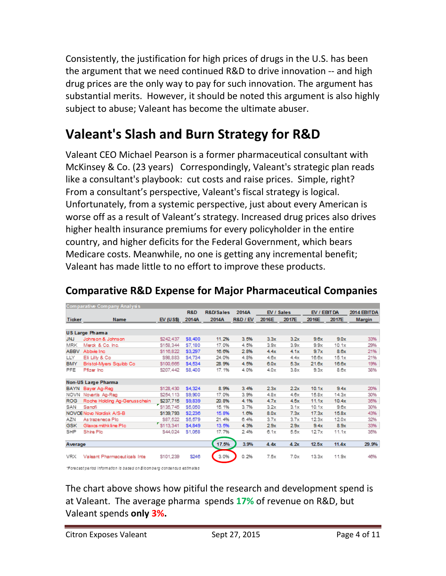Consistently, the justification for high prices of drugs in the U.S. has been the argument that we need continued R&D to drive innovation -- and high drug prices are the only way to pay for such innovation. The argument has substantial merits. However, it should be noted this argument is also highly subject to abuse; Valeant has become the ultimate abuser.

## **Valeant's Slash and Burn Strategy for R&D**

Valeant CEO Michael Pearson is a former pharmaceutical consultant with McKinsey & Co. (23 years) Correspondingly, Valeant's strategic plan reads like a consultant's playbook: cut costs and raise prices. Simple, right? From a consultant's perspective, Valeant's fiscal strategy is logical. Unfortunately, from a systemic perspective, just about every American is worse off as a result of Valeant's strategy. Increased drug prices also drives higher health insurance premiums for every policyholder in the entire country, and higher deficits for the Federal Government, which bears Medicare costs. Meanwhile, no one is getting any incremental benefit; Valeant has made little to no effort to improve these products.

|                        | Comparative Company Analysis |             |               |                      |                     |            |       |              |       |               |
|------------------------|------------------------------|-------------|---------------|----------------------|---------------------|------------|-------|--------------|-------|---------------|
|                        |                              |             | R&D           | <b>R&amp;D/Sales</b> | 2014A               | EV / Sales |       | EV / EBIT DA |       | 2014 EBITDA   |
| <b>Ticker</b>          | <b>Name</b>                  | $EV$ (US\$) | 2014A         | 2014A                | <b>R&amp;D / EV</b> | 2016E      | 2017E | 2016E        | 2017E | <b>Margin</b> |
|                        |                              |             |               |                      |                     |            |       |              |       |               |
| <b>US Large Pharma</b> |                              |             |               |                      |                     |            |       |              |       |               |
| <b>JNJ</b>             | Johnson & Johnson            | \$242.437   | S8.400        | 11.2%                | 3.5%                | 3.3x       | 3.2x  | 9.6x         | 9.0x  | 33%           |
| <b>MRK</b>             | Merck & Co. Inc.             | \$158.344   | S7.180        | 17.0%                | 4.5%                | 3.9x       | 3.9x  | 9.9x         | 10.1x | 29%           |
| <b>ABBV</b>            | Abbvie Inc.                  | \$116,822   | \$3,297       | 16.6%                | 2.8%                | 4.4x       | 4.1x  | 9.7x         | 8.6x  | 21%           |
| LLY                    | Eli Lilly & Co               | \$98,883    | <b>S4,734</b> | 24.0%                | 4.8%                | 4.6x       | 4.4x  | 16.6x        | 15.1x | 21%           |
| <b>BMY</b>             | Bristol-Myers Squibb Co      | \$100,665   | \$4,534       | 28.9%                | 4.5%                | 6.0x       | 5.3x  | 21.6x        | 16.6x | 19%           |
| PFE                    | Pfizer Inc.                  | \$207,442   | S8,400        | 17.1%                | 4.0%                | 4.0x       | 3.8x  | 9.3x         | 8.6x  | 38%           |
|                        |                              |             |               |                      |                     |            |       |              |       |               |
|                        | Non-US Large Pharma          |             |               |                      |                     |            |       |              |       |               |
|                        | BAYN Bayer Ag-Reg            | \$128,430   | \$4,324       | 8.9%                 | 3.4%                | 2.3x       | 2.2x  | 10.1x        | 9.4x  | 20%           |
|                        | NOVN Novertis Ag-Reg         | \$254,113   | \$9,900       | 17.0%                | 3.9%                | 4.8x       | 4.6x  | 15.8x        | 14.3x | 30%           |
| <b>ROG</b>             | Roche Holding Ag-Genusschein | \$237,715   | \$9,839       | 20.8%                | 4.1%                | 4.7x       | 4.5x  | 11.1x        | 10.4x | 35%           |
| SAN                    | Sanofi                       | \$135,745   | \$5,050       | 15.1%                | 3.7%                | 3.2x       | 3.1x  | 10.1x        | 9.6x  | 30%           |
|                        | NOVOE Novo Nordisk A/S-B     | \$139,793   | \$2,236       | 15.8%                | 1.0%                | 8.0x       | 7.3x  | 17.3x        | 15.8x | 43%           |
| AZN                    | As trazeneda Plo             | \$87.522    | \$5,579       | 21.4%                | 6.4%                | 3.7x       | 3.7x  | 12.3x        | 12.0x | 32%           |
| GSK                    | Glaxos mithkline PIc         | \$113,341   | \$4,849       | 13.5%                | 4.3%                | 2.9x       | 2.9x  | 9.4x         | 8.9x  | 33%           |
| <b>SHP</b>             | Shire Plo                    | S44,024     | \$1,068       | 17.7%                | 2.4%                | 6.1x       | 5.5x  | 12.7x        | 11.1x | 35%           |
|                        |                              |             |               |                      |                     |            |       |              |       |               |
| Average                |                              |             | 17.5%         | 3.9%                 | 4.4x                | 4.2x       | 12.5x | 11.4x        | 29.9% |               |
|                        |                              |             |               |                      |                     |            |       |              |       |               |
| <b>VRX</b>             | Valeant Pharmaceuticals Inte | \$101.239   | \$246         | 3.0%                 | 0.2%                | 7.5x       | 7.0x  | 13.3x        | 11.9x | 46%           |
|                        |                              |             |               |                      |                     |            |       |              |       |               |

#### **Comparative R&D Expense for Major Pharmaceutical Companies**

\*Forecast period information is based on Bloomberg consensus estimates

The chart above shows how pitiful the research and development spend is at Valeant. The average pharma spends **17%** of revenue on R&D, but Valeant spends **only 3%.**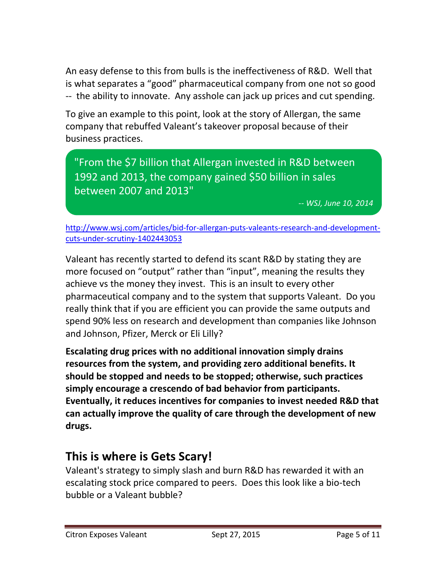An easy defense to this from bulls is the ineffectiveness of R&D. Well that is what separates a "good" pharmaceutical company from one not so good -- the ability to innovate. Any asshole can jack up prices and cut spending.

To give an example to this point, look at the story of Allergan, the same company that rebuffed Valeant's takeover proposal because of their business practices.

"From the \$7 billion that Allergan invested in R&D between 1992 and 2013, the company gained \$50 billion in sales between 2007 and 2013"

*-- WSJ, June 10, 2014*

[http://www.wsj.com/articles/bid-for-allergan-puts-valeants-research-and-development](http://www.wsj.com/articles/bid-for-allergan-puts-valeants-research-and-development-cuts-under-scrutiny-1402443053)[cuts-under-scrutiny-1402443053](http://www.wsj.com/articles/bid-for-allergan-puts-valeants-research-and-development-cuts-under-scrutiny-1402443053)

Valeant has recently started to defend its scant R&D by stating they are more focused on "output" rather than "input", meaning the results they achieve vs the money they invest. This is an insult to every other pharmaceutical company and to the system that supports Valeant. Do you really think that if you are efficient you can provide the same outputs and spend 90% less on research and development than companies like Johnson and Johnson, Pfizer, Merck or Eli Lilly?

**Escalating drug prices with no additional innovation simply drains resources from the system, and providing zero additional benefits. It should be stopped and needs to be stopped; otherwise, such practices simply encourage a crescendo of bad behavior from participants. Eventually, it reduces incentives for companies to invest needed R&D that can actually improve the quality of care through the development of new drugs.** 

### **This is where is Gets Scary!**

Valeant's strategy to simply slash and burn R&D has rewarded it with an escalating stock price compared to peers. Does this look like a bio-tech bubble or a Valeant bubble?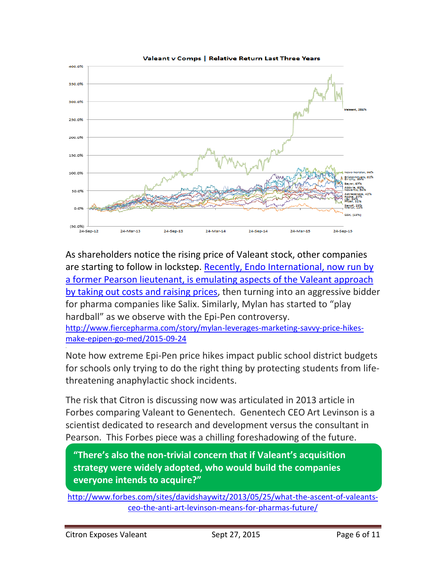

Valeant y Comps | Relative Return Last Three Years

As shareholders notice the rising price of Valeant stock, other companies are starting to follow in lockstep. Recently, Endo International, now run by [a former Pearson lieutenant, is](http://www.wsj.com/articles/bid-for-allergan-puts-valeants-research-and-development-cuts-under-scrutiny-1402443053) emulating aspects of the Valeant approach [by taking out costs and raising prices,](http://www.wsj.com/articles/bid-for-allergan-puts-valeants-research-and-development-cuts-under-scrutiny-1402443053) then turning into an aggressive bidder for pharma companies like Salix. Similarly, Mylan has started to "play hardball" as we observe with the Epi-Pen controversy. [http://www.fiercepharma.com/story/mylan-leverages-marketing-savvy-price-hikes-](http://www.fiercepharma.com/story/mylan-leverages-marketing-savvy-price-hikes-make-epipen-go-med/2015-09-24)

[make-epipen-go-med/2015-09-24](http://www.fiercepharma.com/story/mylan-leverages-marketing-savvy-price-hikes-make-epipen-go-med/2015-09-24)

.

Note how extreme Epi-Pen price hikes impact public school district budgets for schools only trying to do the right thing by protecting students from lifethreatening anaphylactic shock incidents.

The risk that Citron is discussing now was articulated in 2013 article in Forbes comparing Valeant to Genentech. Genentech CEO Art Levinson is a scientist dedicated to research and development versus the consultant in Pearson. This Forbes piece was a chilling foreshadowing of the future.

**"There's also the non-trivial concern that if Valeant's acquisition strategy were widely adopted, who would build the companies everyone intends to acquire?"**

[http://www.forbes.com/sites/davidshaywitz/2013/05/25/what-the-ascent-of-valeants](http://www.forbes.com/sites/davidshaywitz/2013/05/25/what-the-ascent-of-valeants-ceo-the-anti-art-levinson-means-for-pharmas-future/)[ceo-the-anti-art-levinson-means-for-pharmas-future/](http://www.forbes.com/sites/davidshaywitz/2013/05/25/what-the-ascent-of-valeants-ceo-the-anti-art-levinson-means-for-pharmas-future/)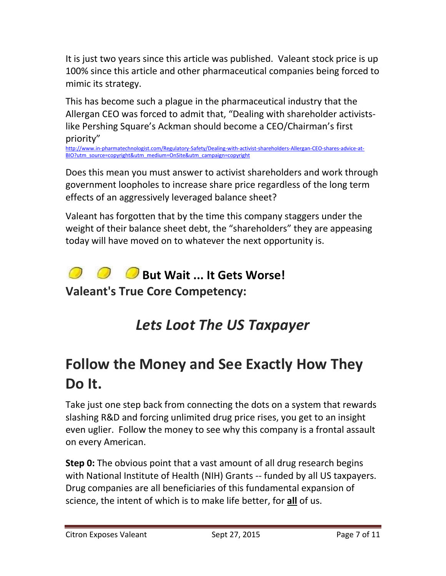It is just two years since this article was published. Valeant stock price is up 100% since this article and other pharmaceutical companies being forced to mimic its strategy.

This has become such a plague in the pharmaceutical industry that the Allergan CEO was forced to admit that, "Dealing with shareholder activistslike Pershing Square's Ackman should become a CEO/Chairman's first priority"

[http://www.in-pharmatechnologist.com/Regulatory-Safety/Dealing-with-activist-shareholders-Allergan-CEO-shares-advice-at-](http://www.in-pharmatechnologist.com/Regulatory-Safety/Dealing-with-activist-shareholders-Allergan-CEO-shares-advice-at-BIO?utm_source=copyright&utm_medium=OnSite&utm_campaign=copyright)[BIO?utm\\_source=copyright&utm\\_medium=OnSite&utm\\_campaign=copyright](http://www.in-pharmatechnologist.com/Regulatory-Safety/Dealing-with-activist-shareholders-Allergan-CEO-shares-advice-at-BIO?utm_source=copyright&utm_medium=OnSite&utm_campaign=copyright)

Does this mean you must answer to activist shareholders and work through government loopholes to increase share price regardless of the long term effects of an aggressively leveraged balance sheet?

Valeant has forgotten that by the time this company staggers under the weight of their balance sheet debt, the "shareholders" they are appeasing today will have moved on to whatever the next opportunity is.

# **8 But Wait ... It Gets Worse!**

**Valeant's True Core Competency:** 

# *Lets Loot The US Taxpayer*

# **Follow the Money and See Exactly How They Do It.**

Take just one step back from connecting the dots on a system that rewards slashing R&D and forcing unlimited drug price rises, you get to an insight even uglier. Follow the money to see why this company is a frontal assault on every American.

**Step 0:** The obvious point that a vast amount of all drug research begins with National Institute of Health (NIH) Grants -- funded by all US taxpayers. Drug companies are all beneficiaries of this fundamental expansion of science, the intent of which is to make life better, for **all** of us.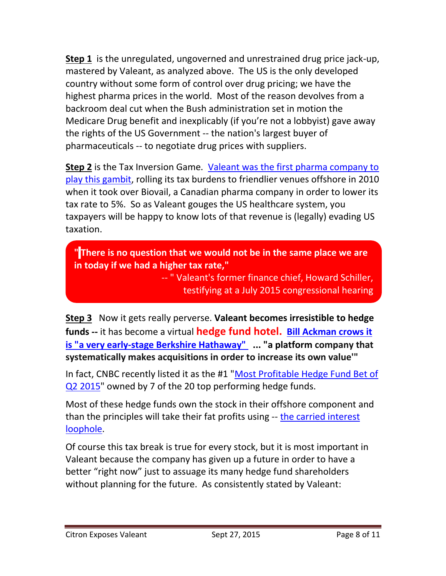**Step 1** is the unregulated, ungoverned and unrestrained drug price jack-up, mastered by Valeant, as analyzed above. The US is the only developed country without some form of control over drug pricing; we have the highest pharma prices in the world. Most of the reason devolves from a backroom deal cut when the Bush administration set in motion the Medicare Drug benefit and inexplicably (if you're not a lobbyist) gave away the rights of the US Government -- the nation's largest buyer of pharmaceuticals -- to negotiate drug prices with suppliers.

**Step 2** is the Tax Inversion Game. [Valeant was the first pharma company to](http://www.bloombergview.com/quicktake/tax-inversion)  [play this gambit,](http://www.bloombergview.com/quicktake/tax-inversion) rolling its tax burdens to friendlier venues offshore in 2010 when it took over Biovail, a Canadian pharma company in order to lower its tax rate to 5%. So as Valeant gouges the US healthcare system, you taxpayers will be happy to know lots of that revenue is (legally) evading US taxation.

**" There is no question that we would not be in the same place we are in today if we had a higher tax rate,"**

> -- " Valeant's former finance chief, Howard Schiller, testifying at a July 2015 congressional hearing

**Step 3** Now it gets really perverse. **Valeant becomes irresistible to hedge funds --** it has become a virtual **hedge fund hotel. [Bill Ackman crows it](http://fortune.com/2015/05/04/bill-ackman-valeant-could-be-next-berkshire-hathaway/)  [is "a very early-stage Berkshire Hathaway"](http://fortune.com/2015/05/04/bill-ackman-valeant-could-be-next-berkshire-hathaway/) ... "a platform company that systematically makes acquisitions in order to increase its own value'"**

In fact, CNBC recently listed it as the #1 ["Most Profitable Hedge Fund Bet of](http://www.cnbc.com/2015/05/18/the-stocks-top-hedge-funds-love.html)  [Q2 2015"](http://www.cnbc.com/2015/05/18/the-stocks-top-hedge-funds-love.html) owned by 7 of the 20 top performing hedge funds.

Most of these hedge funds own the stock in their offshore component and than the principles will take their fat profits using -- the carried interest [loophole.](http://www.cnbc.com/2014/03/04/cnbc-explains-carried-interest.html)

Of course this tax break is true for every stock, but it is most important in Valeant because the company has given up a future in order to have a better "right now" just to assuage its many hedge fund shareholders without planning for the future. As consistently stated by Valeant: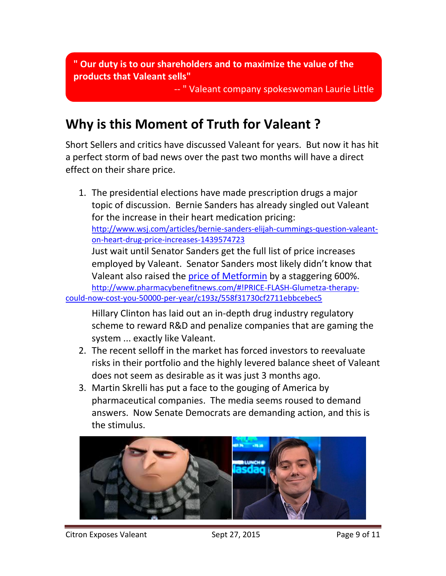**" Our duty is to our shareholders and to maximize the value of the products that Valeant sells"**

-- " Valeant company spokeswoman Laurie Little

### **Why is this Moment of Truth for Valeant ?**

Short Sellers and critics have discussed Valeant for years. But now it has hit a perfect storm of bad news over the past two months will have a direct effect on their share price.

1. The presidential elections have made prescription drugs a major topic of discussion. Bernie Sanders has already singled out Valeant for the increase in their heart medication pricing: [http://www.wsj.com/articles/bernie-sanders-elijah-cummings-question-valeant](http://www.wsj.com/articles/bernie-sanders-elijah-cummings-question-valeant-on-heart-drug-price-increases-1439574723)[on-heart-drug-price-increases-1439574723](http://www.wsj.com/articles/bernie-sanders-elijah-cummings-question-valeant-on-heart-drug-price-increases-1439574723)  Just wait until Senator Sanders get the full list of price increases employed by Valeant. Senator Sanders most likely didn't know that Valeant also raised the [price of Metformin](http://www.pharmacybenefitnews.com/#!PRICE-FLASH-Glumetza-therapy-could-now-cost-you-50000-per-year/c193z/558f31730cf2711ebbcebec5) by a staggering 600%. [http://www.pharmacybenefitnews.com/#!PRICE-FLASH-Glumetza-therapy](http://www.pharmacybenefitnews.com/#!PRICE-FLASH-Glumetza-therapy-could-now-cost-you-50000-per-year/c193z/558f31730cf2711ebbcebec5)[could-now-cost-you-50000-per-year/c193z/558f31730cf2711ebbcebec5](http://www.pharmacybenefitnews.com/#!PRICE-FLASH-Glumetza-therapy-could-now-cost-you-50000-per-year/c193z/558f31730cf2711ebbcebec5)

Hillary Clinton has laid out an in-depth drug industry regulatory scheme to reward R&D and penalize companies that are gaming the system ... exactly like Valeant.

- 2. The recent selloff in the market has forced investors to reevaluate risks in their portfolio and the highly levered balance sheet of Valeant does not seem as desirable as it was just 3 months ago.
- 3. Martin Skrelli has put a face to the gouging of America by pharmaceutical companies. The media seems roused to demand answers. Now Senate Democrats are demanding action, and this is the stimulus.



Citron Exposes Valeant Sept 27, 2015 Citron Exposes Valeant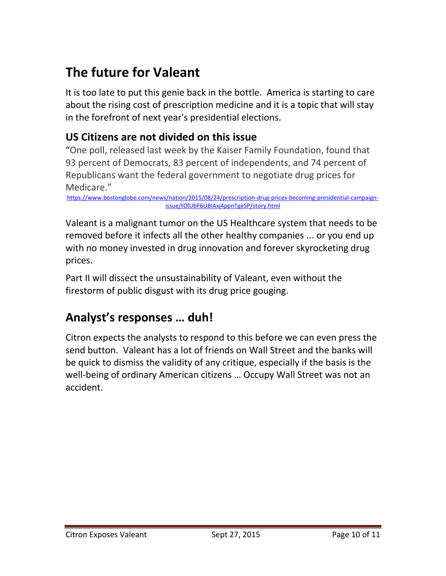## **The future for Valeant**

It is too late to put this genie back in the bottle. America is starting to care about the rising cost of prescription medicine and it is a topic that will stay in the forefront of next year's presidential elections.

#### **US Citizens are not divided on this issue**

"One poll, released last week by the Kaiser Family Foundation, found that 93 percent of Democrats, 83 percent of independents, and 74 percent of Republicans want the federal government to negotiate drug prices for Medicare."

[https://www.bostonglobe.com/news/nation/2015/08/24/prescription-drug-prices-becoming-presidential-campaign](https://www.bostonglobe.com/news/nation/2015/08/24/prescription-drug-prices-becoming-presidential-campaign-issue/tOlUbF6UBlAxj4ppnTgeSP/story.html)[issue/tOlUbF6UBlAxj4ppnTgeSP/story.html](https://www.bostonglobe.com/news/nation/2015/08/24/prescription-drug-prices-becoming-presidential-campaign-issue/tOlUbF6UBlAxj4ppnTgeSP/story.html)

Valeant is a malignant tumor on the US Healthcare system that needs to be removed before it infects all the other healthy companies ... or you end up with no money invested in drug innovation and forever skyrocketing drug prices.

Part II will dissect the unsustainability of Valeant, even without the firestorm of public disgust with its drug price gouging.

### **Analyst's responses … duh!**

Citron expects the analysts to respond to this before we can even press the send button. Valeant has a lot of friends on Wall Street and the banks will be quick to dismiss the validity of any critique, especially if the basis is the well-being of ordinary American citizens … Occupy Wall Street was not an accident.